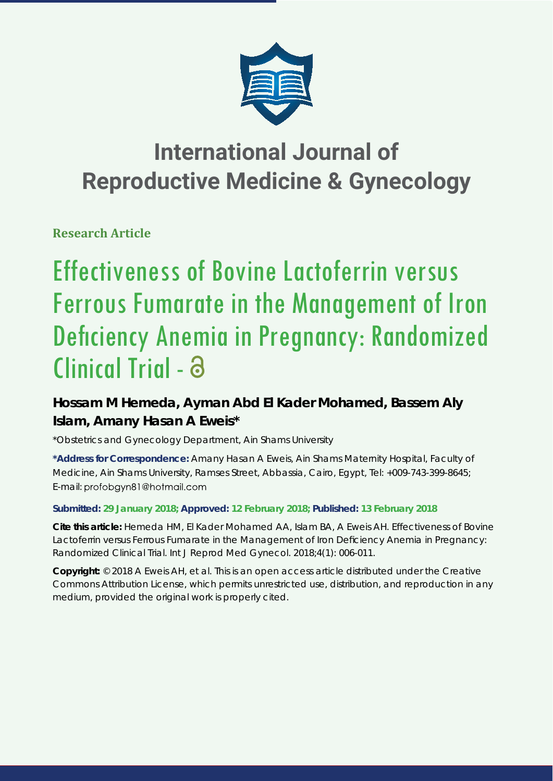

## **International Journal of Reproductive Medicine & Gynecology**

**Research Article**

# Effectiveness of Bovine Lactoferrin versus Ferrous Fumarate in the Management of Iron Deficiency Anemia in Pregnancy: Randomized Clinical Trial -

### **Hossam M Hemeda, Ayman Abd El Kader Mohamed, Bassem Aly Islam, Amany Hasan A Eweis\***

*\*Obstetrics and Gynecology Department, Ain Shams University*

**\*Address for Correspondence:** Amany Hasan A Eweis, Ain Shams Maternity Hospital, Faculty of Medicine, Ain Shams University, Ramses Street, Abbassia, Cairo, Egypt, Tel: +009-743-399-8645; E-mail: profobgyn81@hotmail.com

### **Submitted: 29 January 2018; Approved: 12 February 2018; Published: 13 February 2018**

**Cite this article:** Hemeda HM, El Kader Mohamed AA, Islam BA, A Eweis AH. Effectiveness of Bovine Lactoferrin versus Ferrous Fumarate in the Management of Iron Deficiency Anemia in Pregnancy: Randomized Clinical Trial. Int J Reprod Med Gynecol. 2018;4(1): 006-011.

**Copyright:** © 2018 A Eweis AH, et al. This is an open access article distributed under the Creative Commons Attribution License, which permits unrestricted use, distribution, and reproduction in any medium, provided the original work is properly cited.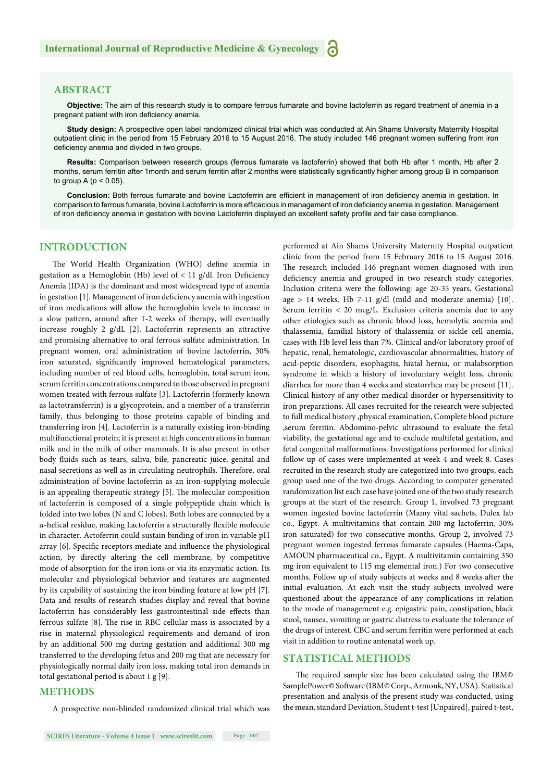#### **ABSTRACT**

**Objective:** The aim of this research study is to compare ferrous fumarate and bovine lactoferrin as regard treatment of anemia in a pregnant patient with iron deficiency anemia.

**Study design:** A prospective open label randomized clinical trial which was conducted at Ain Shams University Maternity Hospital outpatient clinic in the period from 15 February 2016 to 15 August 2016. The study included 146 pregnant women suffering from iron deficiency anemia and divided in two groups.

**Results:** Comparison between research groups (ferrous fumarate vs lactoferrin) showed that both Hb after 1 month, Hb after 2 months, serum ferritin after 1month and serum ferritin after 2 months were statistically significantly higher among group B in comparison to group A (*p* < 0.05).

Conclusion: Both ferrous fumarate and bovine Lactoferrin are efficient in management of iron deficiency anemia in gestation. In comparison to ferrous fumarate, bovine Lactoferrin is more efficacious in management of iron deficiency anemia in gestation. Management of iron deficiency anemia in gestation with bovine Lactoferrin displayed an excellent safety profile and fair case compliance.

#### **INTRODUCTION**

The World Health Organization (WHO) define anemia in gestation as a Hemoglobin (Hb) level of  $< 11$  g/dl. Iron Deficiency Anemia (IDA) is the dominant and most widespread type of anemia in gestation [1]. Management of iron deficiency anemia with ingestion of iron medications will allow the hemoglobin levels to increase in a slow pattern, around after 1-2 weeks of therapy, will eventually increase roughly 2 g/dL [2]. Lactoferrin represents an attractive and promising alternative to oral ferrous sulfate administration. In pregnant women, oral administration of bovine lactoferrin, 30% iron saturated, significantly improved hematological parameters, including number of red blood cells, hemoglobin, total serum iron, serum ferritin concentrations compared to those observed in pregnant women treated with ferrous sulfate [3]. Lactoferrin (formerly known as lactotransferrin) is a glycoprotein, and a member of a transferrin family, thus belonging to those proteins capable of binding and transferring iron [4]. Lactoferrin is a naturally existing iron-binding multifunctional protein; it is present at high concentrations in human milk and in the milk of other mammals. It is also present in other body fluids such as tears, saliva, bile, pancreatic juice, genital and nasal secretions as well as in circulating neutrophils. Therefore, oral administration of bovine lactoferrin as an iron-supplying molecule is an appealing therapeutic strategy [5]. The molecular composition of lactoferrin is composed of a single polypeptide chain which is folded into two lobes (N and C lobes). Both lobes are connected by a  $\alpha$ -helical residue, making Lactoferrin a structurally flexible molecule in character. Actoferrin could sustain binding of iron in variable pH array [6]. Specific receptors mediate and influence the physiological action, by directly altering the cell membrane, by competitive mode of absorption for the iron ions or via its enzymatic action. Its molecular and physiological behavior and features are augmented by its capability of sustaining the iron binding feature at low pH [7]. Data and results of research studies display and reveal that bovine lactoferrin has considerably less gastrointestinal side effects than ferrous sulfate [8]. The rise in RBC cellular mass is associated by a rise in maternal physiological requirements and demand of iron by an additional 500 mg during gestation and additional 300 mg transferred to the developing fetus and 200 mg that are necessary for physiologically normal daily iron loss, making total iron demands in total gestational period is about 1 g [9].

#### **METHODS**

A prospective non-blinded randomized clinical trial which was

performed at Ain Shams University Maternity Hospital outpatient clinic from the period from 15 February 2016 to 15 August 2016. The research included 146 pregnant women diagnosed with iron deficiency anemia and grouped in two research study categories. Inclusion criteria were the following: age 20-35 years, Gestational age > 14 weeks. Hb 7-11 g/dl (mild and moderate anemia) [10]. Serum ferritin < 20 mcg/L. Exclusion criteria anemia due to any other etiologies such as chronic blood loss, hemolytic anemia and thalassemia, familial history of thalassemia or sickle cell anemia, cases with Hb level less than 7%. Clinical and/or laboratory proof of hepatic, renal, hematologic, cardiovascular abnormalities, history of acid-peptic disorders, esophagitis, hiatal hernia, or malabsorption syndrome in which a history of involuntary weight loss, chronic diarrhea for more than 4 weeks and steatorrhea may be present [11]. Clinical history of any other medical disorder or hypersensitivity to iron preparations. All cases recruited for the research were subjected to full medical history ,physical examination, Complete blood picture ,serum ferritin. Abdomino-pelvic ultrasound to evaluate the fetal viability, the gestational age and to exclude multifetal gestation, and fetal congenital malformations. Investigations performed for clinical follow up of cases were implemented at week 4 and week 8. Cases recruited in the research study are categorized into two groups, each group used one of the two drugs. According to computer generated randomization list each case have joined one of the two study research groups at the start of the research. Group 1, involved 73 pregnant women ingested bovine lactoferrin (Mamy vital sachets, Dulex lab co., Egypt. A multivitamins that contain 200 mg lactoferrin, 30% iron saturated) for two consecutive months. Group 2**,** involved 73 pregnant women ingested ferrous fumarate capsules (Haema-Caps, AMOUN pharmaceutical co., Egypt. A multivitamin containing 350 mg iron equivalent to 115 mg elemental iron.) For two consecutive months. Follow up of study subjects at weeks and 8 weeks after the initial evaluation. At each visit the study subjects involved were questioned about the appearance of any complications in relation to the mode of management e.g. epigastric pain, constipation, black stool, nausea, vomiting or gastric distress to evaluate the tolerance of the drugs of interest. CBC and serum ferritin were performed at each visit in addition to routine antenatal work up.

#### **STATISTICAL METHODS**

The required sample size has been calculated using the IBM© SamplePower© Software (IBM© Corp., Armonk, NY, USA). Statistical presentation and analysis of the present study was conducted, using the mean, standard Deviation, Student t-test [Unpaired], paired t-test,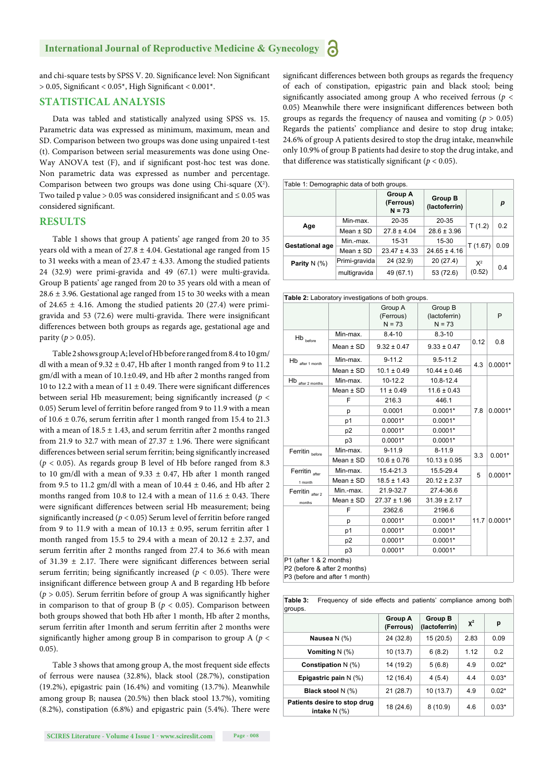and chi-square tests by SPSS V. 20. Significance level: Non Significant  $> 0.05$ , Significant <  $0.05^*$ , High Significant <  $0.001^*$ .

#### **STATISTICAL ANALYSIS**

Data was tabled and statistically analyzed using SPSS vs. 15. Parametric data was expressed as minimum, maximum, mean and SD. Comparison between two groups was done using unpaired t-test (t). Comparison between serial measurements was done using One-Way ANOVA test (F), and if significant post-hoc test was done. Non parametric data was expressed as number and percentage. Comparison between two groups was done using Chi-square  $(X^2)$ . Two tailed p value > 0.05 was considered insignificant and  $\leq$  0.05 was considered significant.

#### **RESULTS**

Table 1 shows that group A patients' age ranged from 20 to 35 years old with a mean of  $27.8 \pm 4.04$ . Gestational age ranged from 15 to 31 weeks with a mean of  $23.47 \pm 4.33$ . Among the studied patients 24 (32.9) were primi-gravida and 49 (67.1) were multi-gravida. Group B patients' age ranged from 20 to 35 years old with a mean of  $28.6 \pm 3.96$ . Gestational age ranged from 15 to 30 weeks with a mean of 24.65  $\pm$  4.16. Among the studied patients 20 (27.4) were primigravida and 53 (72.6) were multi-gravida. There were insignificant differences between both groups as regards age, gestational age and parity  $(p > 0.05)$ .

Table 2 shows group A; level of Hb before ranged from 8.4 to 10 gm/ dl with a mean of  $9.32 \pm 0.47$ , Hb after 1 month ranged from 9 to 11.2  $gm/dl$  with a mean of  $10.1 \pm 0.49$ , and Hb after 2 months ranged from 10 to 12.2 with a mean of 11  $\pm$  0.49. There were significant differences between serial Hb measurement; being significantly increased ( $p <$ 0.05) Serum level of ferritin before ranged from 9 to 11.9 with a mean of  $10.6 \pm 0.76$ , serum ferritin after 1 month ranged from 15.4 to 21.3 with a mean of  $18.5 \pm 1.43$ , and serum ferritin after 2 months ranged from 21.9 to 32.7 with mean of  $27.37 \pm 1.96$ . There were significant differences between serial serum ferritin; being significantly increased  $(p < 0.05)$ . As regards group B level of Hb before ranged from 8.3 to 10 gm/dl with a mean of  $9.33 \pm 0.47$ , Hb after 1 month ranged from 9.5 to 11.2 gm/dl with a mean of  $10.44 \pm 0.46$ , and Hb after 2 months ranged from 10.8 to 12.4 with a mean of  $11.6 \pm 0.43$ . There were significant differences between serial Hb measurement; being significantly increased ( $p < 0.05$ ) Serum level of ferritin before ranged from 9 to 11.9 with a mean of  $10.13 \pm 0.95$ , serum ferritin after 1 month ranged from 15.5 to 29.4 with a mean of  $20.12 \pm 2.37$ , and serum ferritin after 2 months ranged from 27.4 to 36.6 with mean of 31.39  $\pm$  2.17. There were significant differences between serial serum ferritin; being significantly increased ( $p < 0.05$ ). There were insignificant difference between group A and B regarding Hb before ( $p > 0.05$ ). Serum ferritin before of group A was significantly higher in comparison to that of group B ( $p < 0.05$ ). Comparison between both groups showed that both Hb after 1 month, Hb after 2 months, serum ferritin after 1month and serum ferritin after 2 months were significantly higher among group B in comparison to group A ( $p <$ 0.05).

Table 3 shows that among group A, the most frequent side effects of ferrous were nausea (32.8%), black stool (28.7%), constipation (19.2%), epigastric pain (16.4%) and vomiting (13.7%). Meanwhile among group B; nausea (20.5%) then black stool 13.7%), vomiting  $(8.2\%)$ , constipation  $(6.8\%)$  and epigastric pain  $(5.4\%)$ . There were

significant differences between both groups as regards the frequency of each of constipation, epigastric pain and black stool; being significantly associated among group A who received ferrous ( $p <$ 0.05) Meanwhile there were insignificant differences between both groups as regards the frequency of nausea and vomiting ( $p > 0.05$ ) Regards the patients' compliance and desire to stop drug intake; 24.6% of group A patients desired to stop the drug intake, meanwhile only 10.9% of group B patients had desire to stop the drug intake, and that difference was statistically significant ( $p < 0.05$ ).

| Table 1: Demographic data of both groups. |               |                                         |                                 |          |      |  |  |
|-------------------------------------------|---------------|-----------------------------------------|---------------------------------|----------|------|--|--|
|                                           |               | <b>Group A</b><br>(Ferrous)<br>$N = 73$ | <b>Group B</b><br>(lactoferrin) |          | р    |  |  |
| Age                                       | Min-max.      | 20-35                                   | $20 - 35$                       |          | 0.2  |  |  |
|                                           | Mean $\pm$ SD | $27.8 \pm 4.04$                         | $28.6 \pm 3.96$                 | T(1.2)   |      |  |  |
| <b>Gestational age</b>                    | Min.-max.     | 15-31                                   | 15-30                           | T (1.67) | 0.09 |  |  |
|                                           | Mean $\pm$ SD | $23.47 \pm 4.33$                        | $24.65 \pm 4.16$                |          |      |  |  |
| Parity $N$ (%)                            | Primi-gravida | 24 (32.9)                               | 20 (27.4)                       | $X^2$    | 0.4  |  |  |
|                                           | multigravida  | 49 (67.1)                               | 53 (72.6)                       | (0.52)   |      |  |  |

|                                            |                | Table 2: Laboratory investigations of both groups. |                                      |      |           |
|--------------------------------------------|----------------|----------------------------------------------------|--------------------------------------|------|-----------|
|                                            |                | Group A<br>(Ferrous)<br>$N = 73$                   | Group B<br>(lactoferrin)<br>$N = 73$ |      | P         |
| $\mathsf{H}\mathsf{b}_{\mathsf{\;before}}$ | Min-max.       | $8.4 - 10$                                         | $8.3 - 10$                           |      | 0.8       |
|                                            | Mean $\pm$ SD  | $9.32 \pm 0.47$                                    | $9.33 \pm 0.47$                      | 0.12 |           |
| $\mathsf{Hb}_{\mathsf{after\,1\,month}}$   | Min-max.       | $9 - 11.2$                                         | $9.5 - 11.2$                         | 4.3  | $0.0001*$ |
|                                            | Mean $\pm$ SD  | $10.1 \pm 0.49$                                    | $10.44 \pm 0.46$                     |      |           |
| Hb<br>after 2 months                       | Min-max.       | 10-12.2                                            | 10.8-12.4                            |      | $0.0001*$ |
|                                            | Mean $\pm$ SD  | $11 \pm 0.49$                                      | $11.6 \pm 0.43$                      |      |           |
|                                            | F              | 216.3                                              | 446.1                                |      |           |
|                                            | p              | 0.0001                                             | $0.0001*$                            | 7.8  |           |
|                                            | p1             | $0.0001*$                                          | $0.0001*$                            |      |           |
|                                            | p <sub>2</sub> | $0.0001*$                                          | $0.0001*$                            |      |           |
|                                            | p <sub>3</sub> | $0.0001*$                                          | $0.0001*$                            |      |           |
| Ferritin before                            | Min-max.       | $9 - 11.9$                                         | $8 - 11.9$                           | 3.3  | $0.001*$  |
|                                            | Mean $\pm$ SD  | $10.6 \pm 0.76$                                    | $10.13 \pm 0.95$                     |      |           |
| Ferritin after                             | Min-max.       | 15.4-21.3                                          | 15.5-29.4                            | 5    | $0.0001*$ |
| 1 month                                    | Mean $\pm$ SD  | $18.5 \pm 1.43$                                    | $20.12 \pm 2.37$                     |      |           |
| Ferritin after 2                           | Min.-max.      | 21.9-32.7                                          | 27.4-36.6                            |      | $0.0001*$ |
| months                                     | Mean $\pm$ SD  | $27.37 \pm 1.96$                                   | $31.39 \pm 2.17$                     |      |           |
|                                            | F              | 2362.6                                             | 2196.6                               | 11.7 |           |
|                                            | р              | $0.0001*$                                          | $0.0001*$                            |      |           |
|                                            | p1             | $0.0001*$                                          | $0.0001*$                            |      |           |
|                                            | p <sub>2</sub> | $0.0001*$                                          | $0.0001*$                            |      |           |
|                                            | p3             | $0.0001*$                                          | $0.0001*$                            |      |           |

P3 (before and after 1 month)

**Table 3:** Frequency of side effects and patients' compliance among both groups. **Group A Group B** 

|                                                | Group A<br>(Ferrous) | <b>Group B</b><br>(lactoferrin) | $x^2$ | р       |
|------------------------------------------------|----------------------|---------------------------------|-------|---------|
| Nausea $N(\%)$                                 | 24 (32.8)            | 15(20.5)                        | 2.83  | 0.09    |
| Vomiting $N$ (%)                               | 10 (13.7)            | 6(8.2)                          | 1.12  | 0.2     |
| Constipation $N$ (%)                           | 14 (19.2)            | 5(6.8)                          | 4.9   | $0.02*$ |
| Epigastric pain $N(\%)$                        | 12 (16.4)            | 4(5.4)                          | 4.4   | $0.03*$ |
| Black stool N (%)                              | 21(28.7)             | 10(13.7)                        | 4.9   | $0.02*$ |
| Patients desire to stop drug<br>intake $N(\%)$ | 18 (24.6)            | 8(10.9)                         | 4.6   | $0.03*$ |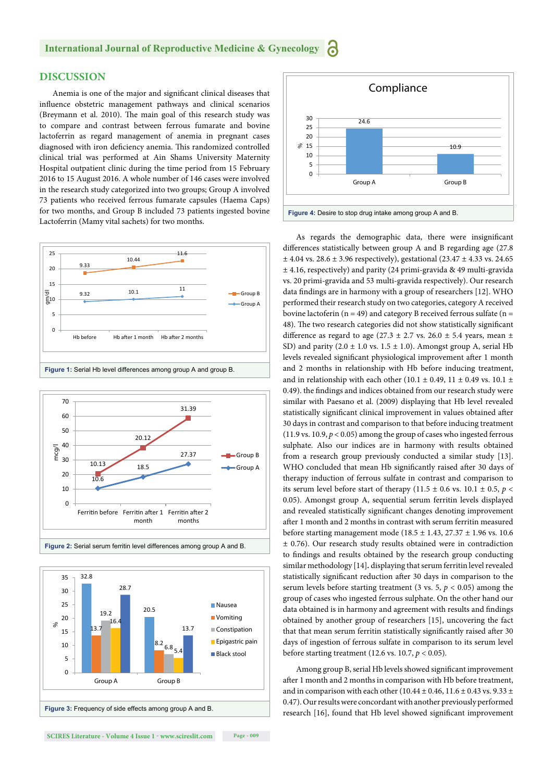#### **International Journal of Reproductive Medicine & Gynecology** а

#### **DISCUSSION**

Anemia is one of the major and significant clinical diseases that influence obstetric management pathways and clinical scenarios (Breymann et al. 2010). The main goal of this research study was to compare and contrast between ferrous fumarate and bovine lactoferrin as regard management of anemia in pregnant cases diagnosed with iron deficiency anemia. This randomized controlled clinical trial was performed at Ain Shams University Maternity Hospital outpatient clinic during the time period from 15 February 2016 to 15 August 2016. A whole number of 146 cases were involved in the research study categorized into two groups; Group A involved 73 patients who received ferrous fumarate capsules (Haema Caps) for two months, and Group B included 73 patients ingested bovine Lactoferrin (Mamy vital sachets) for two months.









As regards the demographic data, there were insignificant differences statistically between group A and B regarding age (27.8)  $±$  4.04 vs. 28.6  $±$  3.96 respectively), gestational (23.47  $±$  4.33 vs. 24.65 ± 4.16, respectively) and parity (24 primi-gravida & 49 multi-gravida vs. 20 primi-gravida and 53 multi-gravida respectively). Our research data findings are in harmony with a group of researchers [12]. WHO performed their research study on two categories, category A received bovine lactoferin ( $n = 49$ ) and category B received ferrous sulfate ( $n =$ 48). The two research categories did not show statistically significant difference as regard to age (27.3  $\pm$  2.7 vs. 26.0  $\pm$  5.4 years, mean  $\pm$ SD) and parity  $(2.0 \pm 1.0 \text{ vs. } 1.5 \pm 1.0)$ . Amongst group A, serial Hb levels revealed significant physiological improvement after 1 month and 2 months in relationship with Hb before inducing treatment, and in relationship with each other (10.1  $\pm$  0.49, 11  $\pm$  0.49 vs. 10.1  $\pm$ 0.49). the findings and indices obtained from our research study were similar with Paesano et al. (2009) displaying that Hb level revealed statistically significant clinical improvement in values obtained after 30 days in contrast and comparison to that before inducing treatment (11.9 vs. 10.9,  $p < 0.05$ ) among the group of cases who ingested ferrous sulphate. Also our indices are in harmony with results obtained from a research group previously conducted a similar study [13]. WHO concluded that mean Hb significantly raised after 30 days of therapy induction of ferrous sulfate in contrast and comparison to its serum level before start of therapy (11.5  $\pm$  0.6 vs. 10.1  $\pm$  0.5, *p* < 0.05). Amongst group A, sequential serum ferritin levels displayed and revealed statistically significant changes denoting improvement after 1 month and 2 months in contrast with serum ferritin measured before starting management mode (18.5 ± 1.43, 27.37 ± 1.96 vs. 10.6 ± 0.76). Our research study results obtained were in contradiction to findings and results obtained by the research group conducting similar methodology [14]*.* displaying that serum ferritin level revealed statistically significant reduction after 30 days in comparison to the serum levels before starting treatment (3 vs. 5,  $p < 0.05$ ) among the group of cases who ingested ferrous sulphate. On the other hand our data obtained is in harmony and agreement with results and findings obtained by another group of researchers [15], uncovering the fact that that mean serum ferritin statistically significantly raised after 30 days of ingestion of ferrous sulfate in comparison to its serum level before starting treatment (12.6 vs. 10.7, *p* < 0.05).

Among group B, serial Hb levels showed significant improvement after 1 month and 2 months in comparison with Hb before treatment, and in comparison with each other (10.44  $\pm$  0.46, 11.6  $\pm$  0.43 vs. 9.33  $\pm$ 0.47). Our results were concordant with another previously performed research [16], found that Hb level showed significant improvement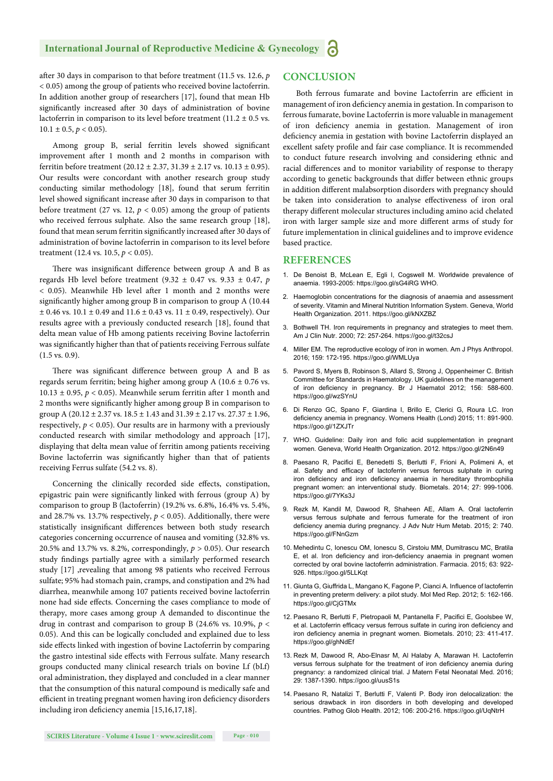#### **International Journal of Reproductive Medicine & Gynecology**

after 30 days in comparison to that before treatment (11.5 vs. 12.6, *p*) < 0.05) among the group of patients who received bovine lactoferrin. In addition another group of researchers [17], found that mean Hb significantly increased after 30 days of administration of bovine lactoferrin in comparison to its level before treatment (11.2  $\pm$  0.5 vs.  $10.1 \pm 0.5$ ,  $p < 0.05$ ).

Among group B, serial ferritin levels showed significant improvement after 1 month and 2 months in comparison with ferritin before treatment  $(20.12 \pm 2.37, 31.39 \pm 2.17)$  vs.  $10.13 \pm 0.95$ ). Our results were concordant with another research group study conducting similar methodology [18], found that serum ferritin level showed significant increase after 30 days in comparison to that before treatment (27 vs. 12,  $p < 0.05$ ) among the group of patients who received ferrous sulphate. Also the same research group [18], found that mean serum ferritin significantly increased after 30 days of administration of bovine lactoferrin in comparison to its level before treatment (12.4 vs. 10.5, *p <* 0.05).

There was insignificant difference between group A and B as regards Hb level before treatment (9.32 ± 0.47 vs. 9.33 ± 0.47, *p*  $<$  0.05). Meanwhile Hb level after 1 month and 2 months were significantly higher among group B in comparison to group A (10.44)  $\pm$  0.46 vs. 10.1  $\pm$  0.49 and 11.6  $\pm$  0.43 vs. 11  $\pm$  0.49, respectively). Our results agree with a previously conducted research [18], found that delta mean value of Hb among patients receiving Bovine lactoferrin was significantly higher than that of patients receiving Ferrous sulfate (1.5 vs. 0.9).

There was significant difference between group A and B as regards serum ferritin; being higher among group A ( $10.6 \pm 0.76$  vs. 10.13  $\pm$  0.95,  $p$  < 0.05). Meanwhile serum ferritin after 1 month and 2 months were significantly higher among group B in comparison to group A (20.12  $\pm$  2.37 vs. 18.5  $\pm$  1.43 and 31.39  $\pm$  2.17 vs. 27.37  $\pm$  1.96, respectively,  $p < 0.05$ ). Our results are in harmony with a previously conducted research with similar methodology and approach [17], displaying that delta mean value of ferritin among patients receiving Bovine lactoferrin was significantly higher than that of patients receiving Ferrus sulfate (54.2 vs. 8).

Concerning the clinically recorded side effects, constipation, epigastric pain were significantly linked with ferrous (group A) by comparison to group B (lactoferrin) (19.2% vs. 6.8%, 16.4% vs. 5.4%, and 28.7% vs. 13.7% respectively,  $p < 0.05$ ). Additionally, there were statistically insignificant differences between both study research categories concerning occurrence of nausea and vomiting (32.8% vs. 20.5% and 13.7% vs. 8.2%, correspondingly, *p* > 0.05). Our research study findings partially agree with a similarly performed research study [17] ,revealing that among 98 patients who received Ferrous sulfate; 95% had stomach pain, cramps, and constipation and 2% had diarrhea, meanwhile among 107 patients received bovine lactoferrin none had side effects. Concerning the cases compliance to mode of therapy, more cases among group A demanded to discontinue the drug in contrast and comparison to group B (24.6% vs. 10.9%, *p* < 0.05). And this can be logically concluded and explained due to less side effects linked with ingestion of bovine Lactoferrin by comparing the gastro intestinal side effects with Ferrous sulfate. Many research groups conducted many clinical research trials on bovine Lf (bLf) oral administration, they displayed and concluded in a clear manner that the consumption of this natural compound is medically safe and efficient in treating pregnant women having iron deficiency disorders including iron deficiency anemia [15,16,17,18].

#### **CONCLUSION**

Both ferrous fumarate and bovine Lactoferrin are efficient in management of iron deficiency anemia in gestation. In comparison to ferrous fumarate, bovine Lactoferrin is more valuable in management of iron deficiency anemia in gestation. Management of iron deficiency anemia in gestation with bovine Lactoferrin displayed an excellent safety profile and fair case compliance. It is recommended to conduct future research involving and considering ethnic and racial differences and to monitor variability of response to therapy according to genetic backgrounds that differ between ethnic groups in addition different malabsorption disorders with pregnancy should be taken into consideration to analyse effectiveness of iron oral therapy different molecular structures including amino acid chelated iron with larger sample size and more different arms of study for future implementation in clinical guidelines and to improve evidence based practice.

#### **REFERENCES**

- 1. De Benoist B, McLean E, Egli I, Cogswell M. Worldwide prevalence of anaemia. 1993-2005: https://goo.gl/sG4iRG WHO.
- 2. Haemoglobin concentrations for the diagnosis of anaemia and assessment of severity. Vitamin and Mineral Nutrition Information System. Geneva, World Health Organization. 2011. https://goo.gl/kNXZBZ
- 3. Bothwell TH. Iron requirements in pregnancy and strategies to meet them. Am J Clin Nutr. 2000; 72: 257-264. https://goo.gl/t32csJ
- 4. Miller EM. The reproductive ecology of iron in women. Am J Phys Anthropol. 2016; 159: 172-195. https://goo.gl/WMLUya
- 5. Pavord S, Myers B, Robinson S, Allard S, Strong J, Oppenheimer C. British Committee for Standards in Haematology. UK guidelines on the management of iron deficiency in pregnancy. Br J Haematol 2012; 156: 588-600. https://goo.gl/wzSYnU
- 6. Di Renzo GC, Spano F, Giardina I, Brillo E, Clerici G, Roura LC. Iron deficiency anemia in pregnancy. Womens Health (Lond) 2015; 11: 891-900. https://goo.gl/1ZXJTr
- 7. WHO. Guideline: Daily iron and folic acid supplementation in pregnant women. Geneva, World Health Organization. 2012. https://goo.gl/2N6n49
- 8. Paesano R, Pacifici E, Benedetti S, Berlutti F, Frioni A, Polimeni A, et al. Safety and efficacy of lactoferrin versus ferrous sulphate in curing iron deficiency and iron deficiency anaemia in hereditary thrombophilia pregnant women: an interventional study. Biometals. 2014; 27: 999-1006. https://goo.gl/7YKs3J
- 9. Rezk M, Kandil M, Dawood R, Shaheen AE, Allam A. Oral lactoferrin versus ferrous sulphate and ferrous fumerate for the treatment of iron deficiency anemia during pregnancy. J Adv Nutr Hum Metab. 2015; 2: 740. https://goo.gl/FNnGzm
- 10. Mehedintu C, Ionescu OM, Ionescu S, Cirstoiu MM, Dumitrascu MC, Bratila E, et al. Iron deficiency and iron-deficiency anaemia in pregnant women corrected by oral bovine lactoferrin administration. Farmacia. 2015; 63: 922- 926. https://goo.gl/5LLKqt
- 11. Giunta G, Giuffrida L, Mangano K, Fagone P, Cianci A. Influence of lactoferrin in preventing preterm delivery: a pilot study. Mol Med Rep. 2012; 5: 162-166. https://goo.gl/CjGTMx
- 12. Paesano R, Berlutti F, Pietropaoli M, Pantanella F, Pacifici E, Goolsbee W, et al. Lactoferrin efficacy versus ferrous sulfate in curing iron deficiency and iron deficiency anemia in pregnant women. Biometals. 2010; 23: 411-417. https://goo.gl/ghNdEf
- 13. Rezk M, Dawood R, Abo-Elnasr M, Al Halaby A, Marawan H. Lactoferrin versus ferrous sulphate for the treatment of iron deficiency anemia during pregnancy: a randomized clinical trial. J Matern Fetal Neonatal Med. 2016; 29: 1387-1390. https://goo.gl/uusS1s
- 14. Paesano R, Natalizi T, Berlutti F, Valenti P. Body iron delocalization: the serious drawback in iron disorders in both developing and developed countries. Pathog Glob Health. 2012; 106: 200-216. https://goo.gl/UqNtrH